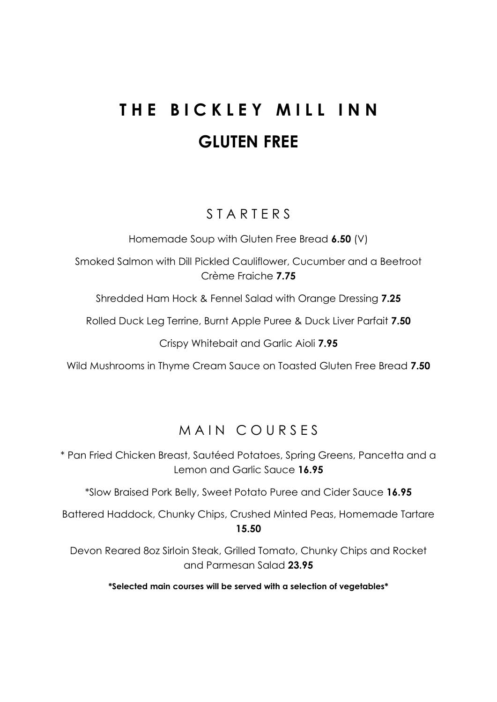# **THE BICKLEY MILL INN GLUTEN FREE**

## S T A R T E R S

Homemade Soup with Gluten Free Bread **6.50** (V)

Smoked Salmon with Dill Pickled Cauliflower, Cucumber and a Beetroot Crème Fraiche **7.75**

Shredded Ham Hock & Fennel Salad with Orange Dressing **7.25**

Rolled Duck Leg Terrine, Burnt Apple Puree & Duck Liver Parfait **7.50**

Crispy Whitebait and Garlic Aioli **7.95**

Wild Mushrooms in Thyme Cream Sauce on Toasted Gluten Free Bread **7.50**

# MAIN COURSES

\* Pan Fried Chicken Breast, Sautéed Potatoes, Spring Greens, Pancetta and a Lemon and Garlic Sauce **16.95**

\*Slow Braised Pork Belly, Sweet Potato Puree and Cider Sauce **16.95**

Battered Haddock, Chunky Chips, Crushed Minted Peas, Homemade Tartare **15.50**

Devon Reared 8oz Sirloin Steak, Grilled Tomato, Chunky Chips and Rocket and Parmesan Salad **23.95**

**\*Selected main courses will be served with a selection of vegetables\***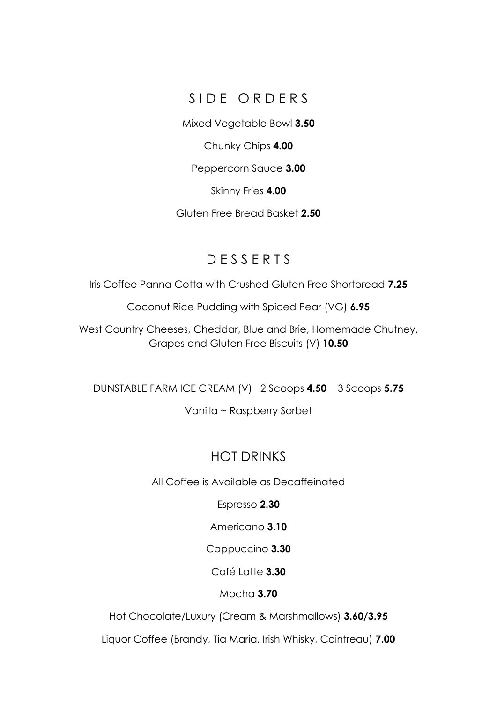#### SIDE ORDERS

Mixed Vegetable Bowl **3.50**

Chunky Chips **4.00**

Peppercorn Sauce **3.00**

Skinny Fries **4.00**

Gluten Free Bread Basket **2.50**

## D E S S E R T S

Iris Coffee Panna Cotta with Crushed Gluten Free Shortbread **7.25**

Coconut Rice Pudding with Spiced Pear (VG) **6.95**

West Country Cheeses, Cheddar, Blue and Brie, Homemade Chutney, Grapes and Gluten Free Biscuits (V) **10.50**

DUNSTABLE FARM ICE CREAM (V) 2 Scoops **4.50** 3 Scoops **5.75**

Vanilla ~ Raspberry Sorbet

## HOT DRINKS

All Coffee is Available as Decaffeinated

Espresso **2.30**

Americano **3.10**

Cappuccino **3.30**

Café Latte **3.30**

Mocha **3.70**

Hot Chocolate/Luxury (Cream & Marshmallows) **3.60/3.95**

Liquor Coffee (Brandy, Tia Maria, Irish Whisky, Cointreau) **7.00**